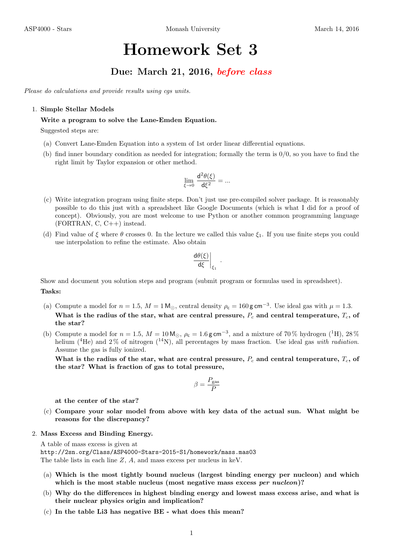# Homework Set 3

## Due: March 21, 2016, before class

Please do calculations and provide results using cgs units.

#### 1. Simple Stellar Models

#### Write a program to solve the Lane-Emden Equation.

Suggested steps are:

- (a) Convert Lane-Emden Equation into a system of 1st order linear differential equations.
- (b) find inner boundary condition as needed for integration; formally the term is 0/0, so you have to find the right limit by Taylor expansion or other method.

$$
\lim_{\xi \to 0} \, \frac{\mathrm{d}^2 \theta(\xi)}{\mathrm{d} \xi^2} = ...
$$

- (c) Write integration program using finite steps. Don't just use pre-compiled solver package. It is reasonably possible to do this just with a spreadsheet like Google Documents (which is what I did for a proof of concept). Obviously, you are most welcome to use Python or another common programming language  $(FORTRAN, C, C++)$  instead.
- (d) Find value of  $\xi$  where  $\theta$  crosses 0. In the lecture we called this value  $\xi_1$ . If you use finite steps you could use interpolation to refine the estimate. Also obtain

$$
\left. \frac{\mathrm{d}\theta(\xi)}{\mathrm{d}\xi} \right|_{\xi_1}
$$

.

Show and document you solution steps and program (submit program or formulas used in spreadsheet). Tasks:

- (a) Compute a model for  $n = 1.5$ ,  $M = 1 \text{ M}_{\odot}$ , central density  $\rho_c = 160 \text{ g cm}^{-3}$ . Use ideal gas with  $\mu = 1.3$ . What is the radius of the star, what are central pressure,  $P_c$  and central temperature,  $T_c$ , of the star?
- (b) Compute a model for  $n = 1.5$ ,  $M = 10 \text{ M}_{\odot}$ ,  $\rho_c = 1.6 \text{ g cm}^{-3}$ , and a mixture of 70% hydrogen (<sup>1</sup>H), 28% helium (<sup>4</sup>He) and 2% of nitrogen (<sup>14</sup>N), all percentages by mass fraction. Use ideal gas with radiation. Assume the gas is fully ionized.

What is the radius of the star, what are central pressure,  $P_c$  and central temperature,  $T_c$ , of the star? What is fraction of gas to total pressure,

$$
\beta = \frac{P_{\rm gas}}{P}
$$

at the center of the star?

- (c) Compare your solar model from above with key data of the actual sun. What might be reasons for the discrepancy?
- 2. Mass Excess and Binding Energy.

A table of mass excess is given at http://2sn.org/Class/ASP4000-Stars-2015-S1/homework/mass.mas03 The table lists in each line Z, A, and mass excess per nucleus in keV.

- (a) Which is the most tightly bound nucleus (largest binding energy per nucleon) and which which is the most stable nucleus (most negative mass excess per nucleon)?
- (b) Why do the differences in highest binding energy and lowest mass excess arise, and what is their nuclear physics origin and implication?
- (c) In the table Li3 has negative BE what does this mean?